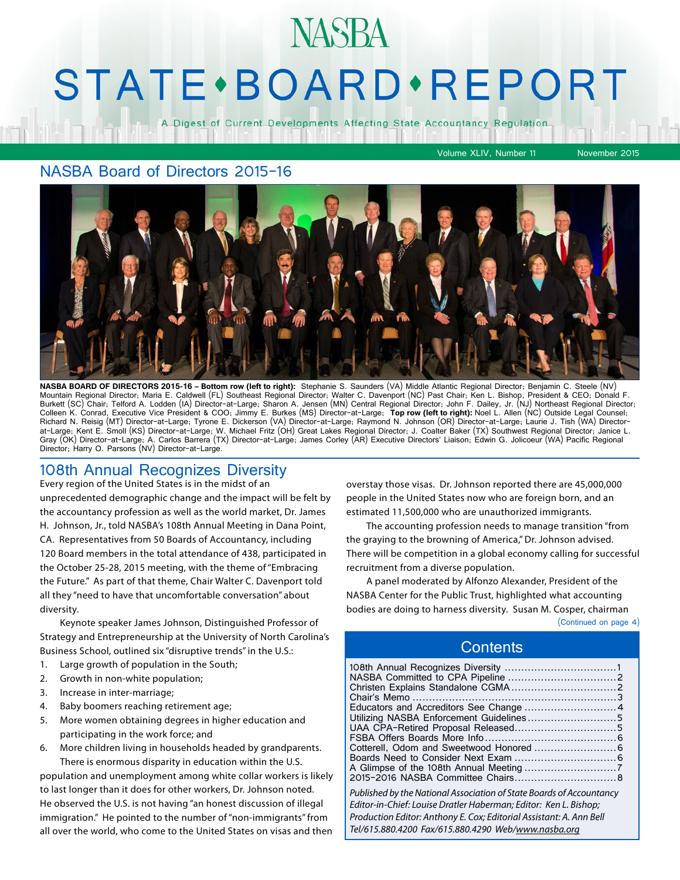# **STATE** · BOARD · REPORT

**NASBA** 

A Digest of Current Developments Affecting State Accountancy Regulation

#### NASBA Board of Directors 2015-16



**NASBA BOARD OF DIRECTORS 2015-16 – Bottom row (left to right):** Stephanie S. Saunders (VA) Middle Atlantic Regional Director; Benjamin C. Steele (NV)<br>Mountain Regional Director; Maria E. Caldwell (FL) Southeast Regional D Burkett (SC) Chair; Telford A. Lodden (IA) Director-at-Large; Sharon A. Jensen (MN) Central Regional Director; John F. Dailey, Jr. (NJ) Northeast Regional Director; Colleen K. Conrad, Executive Vice President & COO; Jimmy E. Burkes (MS) Director-at-Large; Top row (left to right): Noel L. Allen (NC) Outside Legal Counsel;<br>Richard N. Reisig (MT) Director-at-Large; Tyrone E. Dickerson (V at-Large; Kent E. Smoll (KS) Director-at-Large; W. Michael Fritz (OH) Great Lakes Regional Director; J. Coalter Baker (TX) Southwest Regional Director; Janice L. Gray (OK) Director-at-Large; A. Carlos Barrera (TX) Director-at-Large; James Corley (AR) Executive Directors' Liaison; Edwin G. Jolicoeur (WA) Pacific Regional Director; Harry O. Parsons (NV) Director-at-Large.

#### 108th Annual Recognizes Diversity

Every region of the United States is in the midst of an unprecedented demographic change and the impact will be felt by the accountancy profession as well as the world market, Dr. James H. Johnson, Jr., told NASBA's 108th Annual Meeting in Dana Point, CA. Representatives from 50 Boards of Accountancy, including 120 Board members in the total attendance of 438, participated in the October 25-28, 2015 meeting, with the theme of "Embracing the Future." As part of that theme, Chair Walter C. Davenport told all they "need to have that uncomfortable conversation" about diversity.

Keynote speaker James Johnson, Distinguished Professor of Strategy and Entrepreneurship at the University of North Carolina's Business School, outlined six "disruptive trends" in the U.S.:

- 1. Large growth of population in the South;
- 2. Growth in non-white population;
- 3. Increase in inter-marriage;
- 4. Baby boomers reaching retirement age;
- 5. More women obtaining degrees in higher education and participating in the work force; and
- 6. More children living in households headed by grandparents. There is enormous disparity in education within the U.S.

population and unemployment among white collar workers is likely to last longer than it does for other workers, Dr. Johnson noted. He observed the U.S. is not having "an honest discussion of illegal immigration." He pointed to the number of "non-immigrants" from all over the world, who come to the United States on visas and then

overstay those visas. Dr. Johnson reported there are 45,000,000 people in the United States now who are foreign born, and an estimated 11,500,000 who are unauthorized immigrants.

Volume XLIV, Number 11 November 2015

The accounting profession needs to manage transition "from the graying to the browning of America," Dr. Johnson advised. There will be competition in a global economy calling for successful recruitment from a diverse population.

A panel moderated by Alfonzo Alexander, President of the NASBA Center for the Public Trust, highlighted what accounting bodies are doing to harness diversity. Susan M. Cosper, chairman

(Continued on page 4)

#### **Contents**

| Educators and Accreditors See Change  4                              |  |
|----------------------------------------------------------------------|--|
| Utilizing NASBA Enforcement Guidelines5                              |  |
|                                                                      |  |
|                                                                      |  |
| Cotterell, Odom and Sweetwood Honored  6                             |  |
|                                                                      |  |
|                                                                      |  |
|                                                                      |  |
| Published by the National Association of State Boards of Accountancy |  |
| Editor-in-Chief: Louise Dratler Haberman; Editor: Ken L. Bishop;     |  |
| Production Editor: Anthony E. Cox; Editorial Assistant: A. Ann Bell  |  |
| Tel/615.880.4200 Fax/615.880.4290 Web/www.nasba.org                  |  |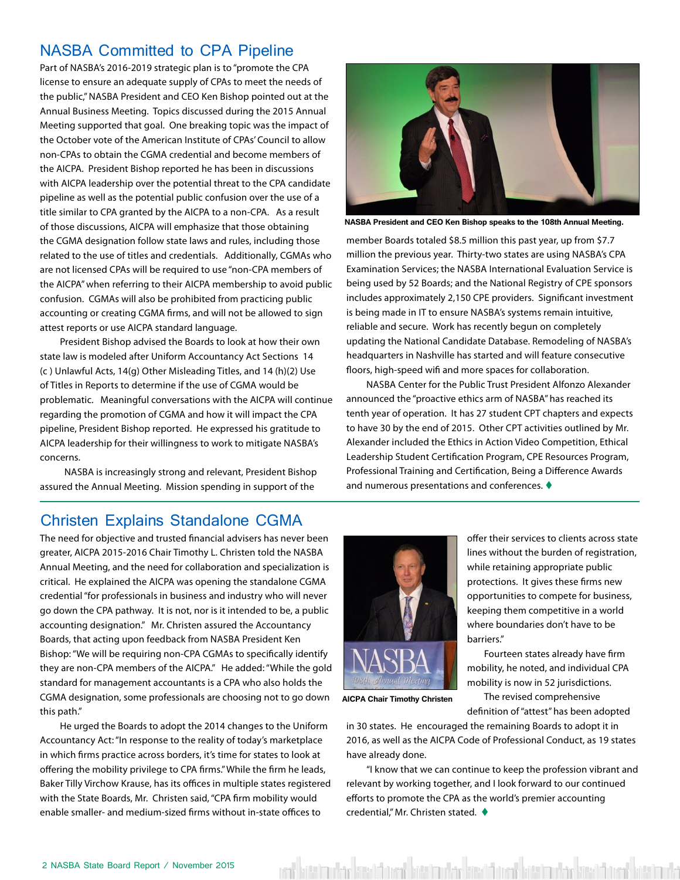#### NASBA Committed to CPA Pipeline

Part of NASBA's 2016-2019 strategic plan is to "promote the CPA license to ensure an adequate supply of CPAs to meet the needs of the public," NASBA President and CEO Ken Bishop pointed out at the Annual Business Meeting. Topics discussed during the 2015 Annual Meeting supported that goal. One breaking topic was the impact of the October vote of the American Institute of CPAs' Council to allow non-CPAs to obtain the CGMA credential and become members of the AICPA. President Bishop reported he has been in discussions with AICPA leadership over the potential threat to the CPA candidate pipeline as well as the potential public confusion over the use of a title similar to CPA granted by the AICPA to a non-CPA. As a result of those discussions, AICPA will emphasize that those obtaining the CGMA designation follow state laws and rules, including those related to the use of titles and credentials. Additionally, CGMAs who are not licensed CPAs will be required to use "non-CPA members of the AICPA" when referring to their AICPA membership to avoid public confusion. CGMAs will also be prohibited from practicing public accounting or creating CGMA firms, and will not be allowed to sign attest reports or use AICPA standard language.

President Bishop advised the Boards to look at how their own state law is modeled after Uniform Accountancy Act Sections 14 (c ) Unlawful Acts, 14(g) Other Misleading Titles, and 14 (h)(2) Use of Titles in Reports to determine if the use of CGMA would be problematic. Meaningful conversations with the AICPA will continue regarding the promotion of CGMA and how it will impact the CPA pipeline, President Bishop reported. He expressed his gratitude to AICPA leadership for their willingness to work to mitigate NASBA's concerns.

 NASBA is increasingly strong and relevant, President Bishop assured the Annual Meeting. Mission spending in support of the



**NASBA President and CEO Ken Bishop speaks to the 108th Annual Meeting.**

member Boards totaled \$8.5 million this past year, up from \$7.7 million the previous year. Thirty-two states are using NASBA's CPA Examination Services; the NASBA International Evaluation Service is being used by 52 Boards; and the National Registry of CPE sponsors includes approximately 2,150 CPE providers. Significant investment is being made in IT to ensure NASBA's systems remain intuitive, reliable and secure. Work has recently begun on completely updating the National Candidate Database. Remodeling of NASBA's headquarters in Nashville has started and will feature consecutive floors, high-speed wifi and more spaces for collaboration.

NASBA Center for the Public Trust President Alfonzo Alexander announced the "proactive ethics arm of NASBA" has reached its tenth year of operation. It has 27 student CPT chapters and expects to have 30 by the end of 2015. Other CPT activities outlined by Mr. Alexander included the Ethics in Action Video Competition, Ethical Leadership Student Certification Program, CPE Resources Program, Professional Training and Certification, Being a Difference Awards and numerous presentations and conferences.  $\blacklozenge$ 

> offer their services to clients across state lines without the burden of registration, while retaining appropriate public protections. It gives these firms new opportunities to compete for business, keeping them competitive in a world where boundaries don't have to be

Fourteen states already have firm mobility, he noted, and individual CPA mobility is now in 52 jurisdictions. The revised comprehensive definition of "attest" has been adopted

#### Christen Explains Standalone CGMA

The need for objective and trusted financial advisers has never been greater, AICPA 2015-2016 Chair Timothy L. Christen told the NASBA Annual Meeting, and the need for collaboration and specialization is critical. He explained the AICPA was opening the standalone CGMA credential "for professionals in business and industry who will never go down the CPA pathway. It is not, nor is it intended to be, a public accounting designation." Mr. Christen assured the Accountancy Boards, that acting upon feedback from NASBA President Ken Bishop: "We will be requiring non-CPA CGMAs to specifically identify they are non-CPA members of the AICPA." He added: "While the gold standard for management accountants is a CPA who also holds the CGMA designation, some professionals are choosing not to go down this path."

He urged the Boards to adopt the 2014 changes to the Uniform Accountancy Act: "In response to the reality of today's marketplace in which firms practice across borders, it's time for states to look at offering the mobility privilege to CPA firms." While the firm he leads, Baker Tilly Virchow Krause, has its offices in multiple states registered with the State Boards, Mr. Christen said, "CPA firm mobility would enable smaller- and medium-sized firms without in-state offices to



**AICPA Chair Timothy Christen**

in 30 states. He encouraged the remaining Boards to adopt it in 2016, as well as the AICPA Code of Professional Conduct, as 19 states have already done.

barriers."

"I know that we can continue to keep the profession vibrant and relevant by working together, and I look forward to our continued efforts to promote the CPA as the world's premier accounting credential," Mr. Christen stated.  $\blacklozenge$ 

ent kötti mahar kisat hasil keskumbar kisat hasil kasil mahar kisat hasil kes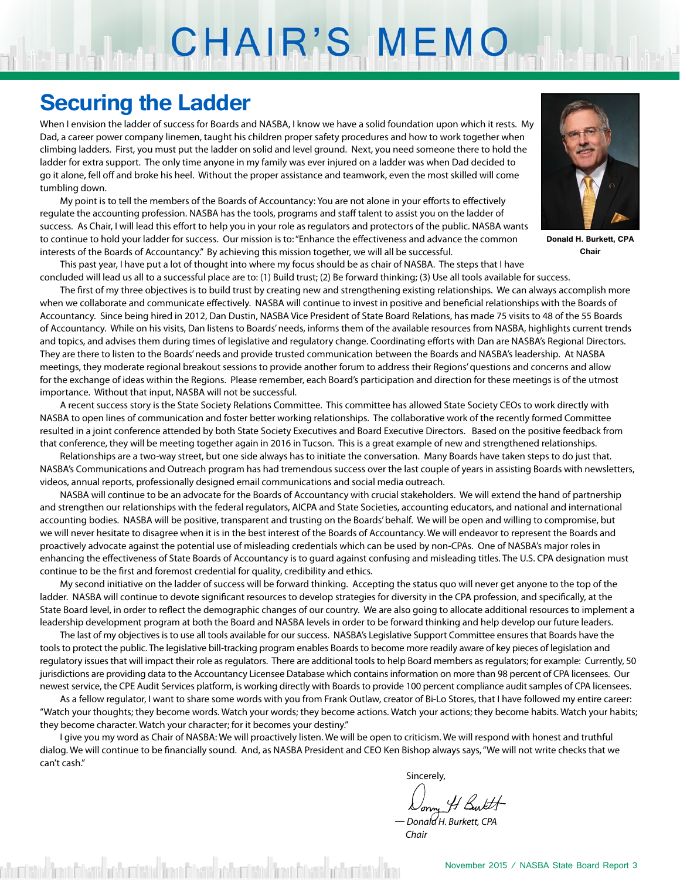# CHAIR'S MEMO

### **Securing the Ladder**

When I envision the ladder of success for Boards and NASBA, I know we have a solid foundation upon which it rests. My Dad, a career power company linemen, taught his children proper safety procedures and how to work together when climbing ladders. First, you must put the ladder on solid and level ground. Next, you need someone there to hold the ladder for extra support. The only time anyone in my family was ever injured on a ladder was when Dad decided to go it alone, fell off and broke his heel. Without the proper assistance and teamwork, even the most skilled will come tumbling down.

My point is to tell the members of the Boards of Accountancy: You are not alone in your efforts to effectively regulate the accounting profession. NASBA has the tools, programs and staff talent to assist you on the ladder of success. As Chair, I will lead this effort to help you in your role as regulators and protectors of the public. NASBA wants to continue to hold your ladder for success. Our mission is to: "Enhance the effectiveness and advance the common interests of the Boards of Accountancy." By achieving this mission together, we will all be successful.



**Donald H. Burkett, CPA Chair**

This past year, I have put a lot of thought into where my focus should be as chair of NASBA. The steps that I have concluded will lead us all to a successful place are to: (1) Build trust; (2) Be forward thinking; (3) Use all tools available for success.

The first of my three objectives is to build trust by creating new and strengthening existing relationships. We can always accomplish more when we collaborate and communicate effectively. NASBA will continue to invest in positive and beneficial relationships with the Boards of Accountancy. Since being hired in 2012, Dan Dustin, NASBA Vice President of State Board Relations, has made 75 visits to 48 of the 55 Boards of Accountancy. While on his visits, Dan listens to Boards' needs, informs them of the available resources from NASBA, highlights current trends and topics, and advises them during times of legislative and regulatory change. Coordinating efforts with Dan are NASBA's Regional Directors. They are there to listen to the Boards' needs and provide trusted communication between the Boards and NASBA's leadership. At NASBA meetings, they moderate regional breakout sessions to provide another forum to address their Regions' questions and concerns and allow for the exchange of ideas within the Regions. Please remember, each Board's participation and direction for these meetings is of the utmost importance. Without that input, NASBA will not be successful.

A recent success story is the State Society Relations Committee. This committee has allowed State Society CEOs to work directly with NASBA to open lines of communication and foster better working relationships. The collaborative work of the recently formed Committee resulted in a joint conference attended by both State Society Executives and Board Executive Directors. Based on the positive feedback from that conference, they will be meeting together again in 2016 in Tucson. This is a great example of new and strengthened relationships.

Relationships are a two-way street, but one side always has to initiate the conversation. Many Boards have taken steps to do just that. NASBA's Communications and Outreach program has had tremendous success over the last couple of years in assisting Boards with newsletters, videos, annual reports, professionally designed email communications and social media outreach.

NASBA will continue to be an advocate for the Boards of Accountancy with crucial stakeholders. We will extend the hand of partnership and strengthen our relationships with the federal regulators, AICPA and State Societies, accounting educators, and national and international accounting bodies. NASBA will be positive, transparent and trusting on the Boards' behalf. We will be open and willing to compromise, but we will never hesitate to disagree when it is in the best interest of the Boards of Accountancy. We will endeavor to represent the Boards and proactively advocate against the potential use of misleading credentials which can be used by non-CPAs. One of NASBA's major roles in enhancing the effectiveness of State Boards of Accountancy is to guard against confusing and misleading titles. The U.S. CPA designation must continue to be the first and foremost credential for quality, credibility and ethics.

My second initiative on the ladder of success will be forward thinking. Accepting the status quo will never get anyone to the top of the ladder. NASBA will continue to devote significant resources to develop strategies for diversity in the CPA profession, and specifically, at the State Board level, in order to reflect the demographic changes of our country. We are also going to allocate additional resources to implement a leadership development program at both the Board and NASBA levels in order to be forward thinking and help develop our future leaders.

The last of my objectives is to use all tools available for our success. NASBA's Legislative Support Committee ensures that Boards have the tools to protect the public. The legislative bill-tracking program enables Boards to become more readily aware of key pieces of legislation and regulatory issues that will impact their role as regulators. There are additional tools to help Board members as regulators; for example: Currently, 50 jurisdictions are providing data to the Accountancy Licensee Database which contains information on more than 98 percent of CPA licensees. Our newest service, the CPE Audit Services platform, is working directly with Boards to provide 100 percent compliance audit samples of CPA licensees.

As a fellow regulator, I want to share some words with you from Frank Outlaw, creator of Bi-Lo Stores, that I have followed my entire career: "Watch your thoughts; they become words. Watch your words; they become actions. Watch your actions; they become habits. Watch your habits; they become character. Watch your character; for it becomes your destiny."

I give you my word as Chair of NASBA: We will proactively listen. We will be open to criticism. We will respond with honest and truthful dialog. We will continue to be financially sound. And, as NASBA President and CEO Ken Bishop always says, "We will not write checks that we can't cash."

is a state of the control of the control of the control of the control of the control of the control of the co

*— Donald H. Burkett, CPA Chair*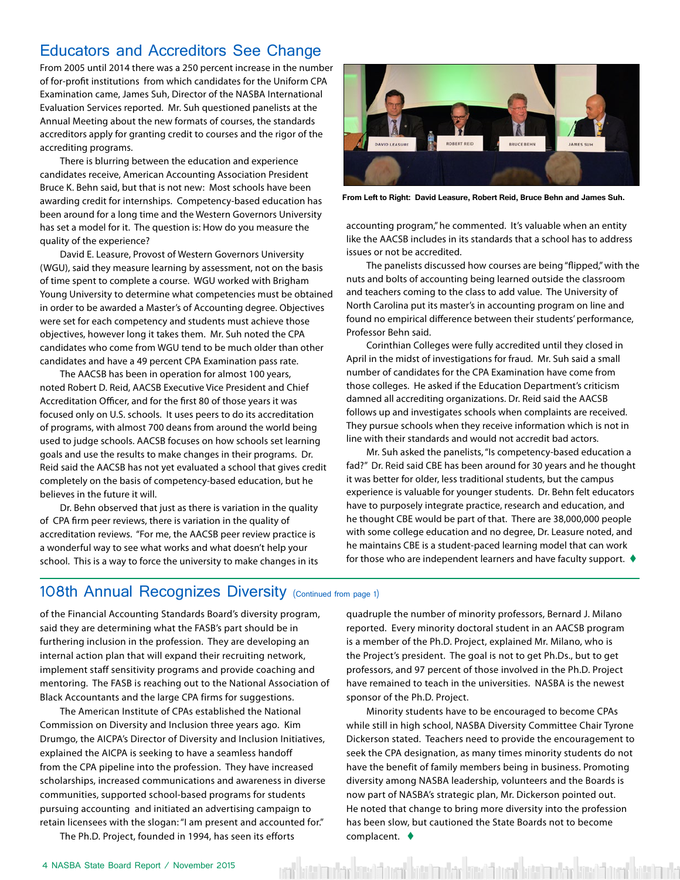#### Educators and Accreditors See Change

From 2005 until 2014 there was a 250 percent increase in the number of for-profit institutions from which candidates for the Uniform CPA Examination came, James Suh, Director of the NASBA International Evaluation Services reported. Mr. Suh questioned panelists at the Annual Meeting about the new formats of courses, the standards accreditors apply for granting credit to courses and the rigor of the accrediting programs.

There is blurring between the education and experience candidates receive, American Accounting Association President Bruce K. Behn said, but that is not new: Most schools have been awarding credit for internships. Competency-based education has been around for a long time and the Western Governors University has set a model for it. The question is: How do you measure the quality of the experience?

David E. Leasure, Provost of Western Governors University (WGU), said they measure learning by assessment, not on the basis of time spent to complete a course. WGU worked with Brigham Young University to determine what competencies must be obtained in order to be awarded a Master's of Accounting degree. Objectives were set for each competency and students must achieve those objectives, however long it takes them. Mr. Suh noted the CPA candidates who come from WGU tend to be much older than other candidates and have a 49 percent CPA Examination pass rate.

The AACSB has been in operation for almost 100 years, noted Robert D. Reid, AACSB Executive Vice President and Chief Accreditation Officer, and for the first 80 of those years it was focused only on U.S. schools. It uses peers to do its accreditation of programs, with almost 700 deans from around the world being used to judge schools. AACSB focuses on how schools set learning goals and use the results to make changes in their programs. Dr. Reid said the AACSB has not yet evaluated a school that gives credit completely on the basis of competency-based education, but he believes in the future it will.

Dr. Behn observed that just as there is variation in the quality of CPA firm peer reviews, there is variation in the quality of accreditation reviews. "For me, the AACSB peer review practice is a wonderful way to see what works and what doesn't help your school. This is a way to force the university to make changes in its



**From Left to Right: David Leasure, Robert Reid, Bruce Behn and James Suh.**

accounting program," he commented. It's valuable when an entity like the AACSB includes in its standards that a school has to address issues or not be accredited.

The panelists discussed how courses are being "flipped," with the nuts and bolts of accounting being learned outside the classroom and teachers coming to the class to add value. The University of North Carolina put its master's in accounting program on line and found no empirical difference between their students' performance, Professor Behn said.

Corinthian Colleges were fully accredited until they closed in April in the midst of investigations for fraud. Mr. Suh said a small number of candidates for the CPA Examination have come from those colleges. He asked if the Education Department's criticism damned all accrediting organizations. Dr. Reid said the AACSB follows up and investigates schools when complaints are received. They pursue schools when they receive information which is not in line with their standards and would not accredit bad actors.

Mr. Suh asked the panelists, "Is competency-based education a fad?" Dr. Reid said CBE has been around for 30 years and he thought it was better for older, less traditional students, but the campus experience is valuable for younger students. Dr. Behn felt educators have to purposely integrate practice, research and education, and he thought CBE would be part of that. There are 38,000,000 people with some college education and no degree, Dr. Leasure noted, and he maintains CBE is a student-paced learning model that can work for those who are independent learners and have faculty support.  $\blacklozenge$ 

#### 108th Annual Recognizes Diversity (Continued from page 1)

of the Financial Accounting Standards Board's diversity program, said they are determining what the FASB's part should be in furthering inclusion in the profession. They are developing an internal action plan that will expand their recruiting network, implement staff sensitivity programs and provide coaching and mentoring. The FASB is reaching out to the National Association of Black Accountants and the large CPA firms for suggestions.

The American Institute of CPAs established the National Commission on Diversity and Inclusion three years ago. Kim Drumgo, the AICPA's Director of Diversity and Inclusion Initiatives, explained the AICPA is seeking to have a seamless handoff from the CPA pipeline into the profession. They have increased scholarships, increased communications and awareness in diverse communities, supported school-based programs for students pursuing accounting and initiated an advertising campaign to retain licensees with the slogan: "I am present and accounted for."

The Ph.D. Project, founded in 1994, has seen its efforts

quadruple the number of minority professors, Bernard J. Milano reported. Every minority doctoral student in an AACSB program is a member of the Ph.D. Project, explained Mr. Milano, who is the Project's president. The goal is not to get Ph.Ds., but to get professors, and 97 percent of those involved in the Ph.D. Project have remained to teach in the universities. NASBA is the newest sponsor of the Ph.D. Project.

Minority students have to be encouraged to become CPAs while still in high school, NASBA Diversity Committee Chair Tyrone Dickerson stated. Teachers need to provide the encouragement to seek the CPA designation, as many times minority students do not have the benefit of family members being in business. Promoting diversity among NASBA leadership, volunteers and the Boards is now part of NASBA's strategic plan, Mr. Dickerson pointed out. He noted that change to bring more diversity into the profession has been slow, but cautioned the State Boards not to become complacent.  $\blacklozenge$ 

esta ukko lainud kasta ukko lainud keen lainud ke kinatifarantika kasta kas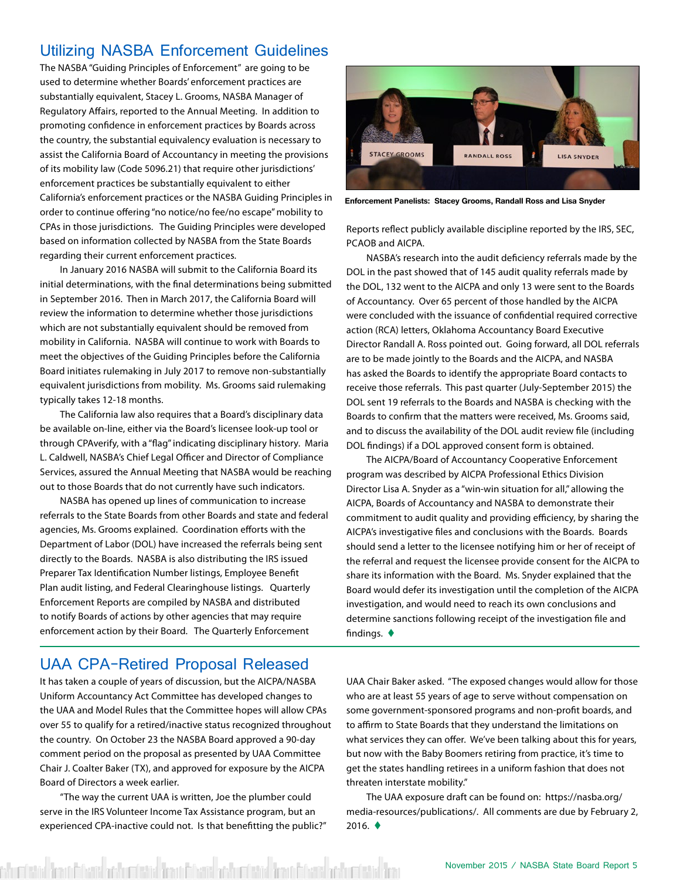#### Utilizing NASBA Enforcement Guidelines

The NASBA "Guiding Principles of Enforcement" are going to be used to determine whether Boards' enforcement practices are substantially equivalent, Stacey L. Grooms, NASBA Manager of Regulatory Affairs, reported to the Annual Meeting. In addition to promoting confidence in enforcement practices by Boards across the country, the substantial equivalency evaluation is necessary to assist the California Board of Accountancy in meeting the provisions of its mobility law (Code 5096.21) that require other jurisdictions' enforcement practices be substantially equivalent to either California's enforcement practices or the NASBA Guiding Principles in order to continue offering "no notice/no fee/no escape" mobility to CPAs in those jurisdictions. The Guiding Principles were developed based on information collected by NASBA from the State Boards regarding their current enforcement practices.

In January 2016 NASBA will submit to the California Board its initial determinations, with the final determinations being submitted in September 2016. Then in March 2017, the California Board will review the information to determine whether those jurisdictions which are not substantially equivalent should be removed from mobility in California. NASBA will continue to work with Boards to meet the objectives of the Guiding Principles before the California Board initiates rulemaking in July 2017 to remove non-substantially equivalent jurisdictions from mobility. Ms. Grooms said rulemaking typically takes 12-18 months.

The California law also requires that a Board's disciplinary data be available on-line, either via the Board's licensee look-up tool or through CPAverify, with a "flag" indicating disciplinary history. Maria L. Caldwell, NASBA's Chief Legal Officer and Director of Compliance Services, assured the Annual Meeting that NASBA would be reaching out to those Boards that do not currently have such indicators.

NASBA has opened up lines of communication to increase referrals to the State Boards from other Boards and state and federal agencies, Ms. Grooms explained. Coordination efforts with the Department of Labor (DOL) have increased the referrals being sent directly to the Boards. NASBA is also distributing the IRS issued Preparer Tax Identification Number listings, Employee Benefit Plan audit listing, and Federal Clearinghouse listings. Quarterly Enforcement Reports are compiled by NASBA and distributed to notify Boards of actions by other agencies that may require enforcement action by their Board. The Quarterly Enforcement



**Enforcement Panelists: Stacey Grooms, Randall Ross and Lisa Snyder**

Reports reflect publicly available discipline reported by the IRS, SEC, PCAOB and AICPA.

NASBA's research into the audit deficiency referrals made by the DOL in the past showed that of 145 audit quality referrals made by the DOL, 132 went to the AICPA and only 13 were sent to the Boards of Accountancy. Over 65 percent of those handled by the AICPA were concluded with the issuance of confidential required corrective action (RCA) letters, Oklahoma Accountancy Board Executive Director Randall A. Ross pointed out. Going forward, all DOL referrals are to be made jointly to the Boards and the AICPA, and NASBA has asked the Boards to identify the appropriate Board contacts to receive those referrals. This past quarter (July-September 2015) the DOL sent 19 referrals to the Boards and NASBA is checking with the Boards to confirm that the matters were received, Ms. Grooms said, and to discuss the availability of the DOL audit review file (including DOL findings) if a DOL approved consent form is obtained.

The AICPA/Board of Accountancy Cooperative Enforcement program was described by AICPA Professional Ethics Division Director Lisa A. Snyder as a "win-win situation for all," allowing the AICPA, Boards of Accountancy and NASBA to demonstrate their commitment to audit quality and providing efficiency, by sharing the AICPA's investigative files and conclusions with the Boards. Boards should send a letter to the licensee notifying him or her of receipt of the referral and request the licensee provide consent for the AICPA to share its information with the Board. Ms. Snyder explained that the Board would defer its investigation until the completion of the AICPA investigation, and would need to reach its own conclusions and determine sanctions following receipt of the investigation file and findings.  $\blacklozenge$ 

#### UAA CPA-Retired Proposal Released

It has taken a couple of years of discussion, but the AICPA/NASBA Uniform Accountancy Act Committee has developed changes to the UAA and Model Rules that the Committee hopes will allow CPAs over 55 to qualify for a retired/inactive status recognized throughout the country. On October 23 the NASBA Board approved a 90-day comment period on the proposal as presented by UAA Committee Chair J. Coalter Baker (TX), and approved for exposure by the AICPA Board of Directors a week earlier.

"The way the current UAA is written, Joe the plumber could serve in the IRS Volunteer Income Tax Assistance program, but an experienced CPA-inactive could not. Is that benefitting the public?"

datid <mark>trantificate at to create t</mark>rantificate at to create transitional of the create tra

UAA Chair Baker asked. "The exposed changes would allow for those who are at least 55 years of age to serve without compensation on some government-sponsored programs and non-profit boards, and to affirm to State Boards that they understand the limitations on what services they can offer. We've been talking about this for years, but now with the Baby Boomers retiring from practice, it's time to get the states handling retirees in a uniform fashion that does not threaten interstate mobility."

The UAA exposure draft can be found on: [https://nasba.org/](https://nasba.org/media-resources/publications/) [media-resources/publications/](https://nasba.org/media-resources/publications/). All comments are due by February 2,  $2016.$   $\triangleleft$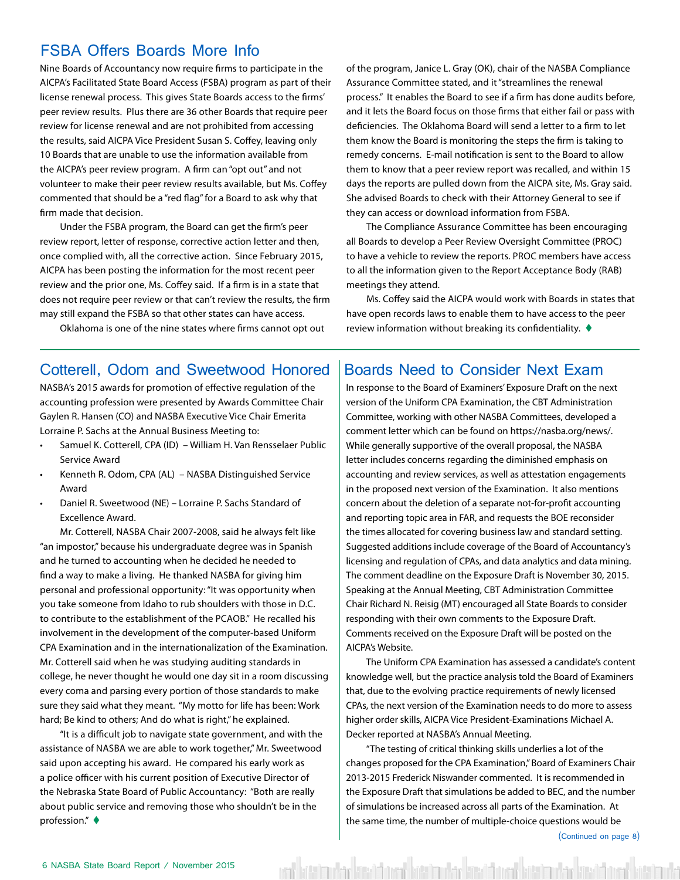#### FSBA Offers Boards More Info

Nine Boards of Accountancy now require firms to participate in the AICPA's Facilitated State Board Access (FSBA) program as part of their license renewal process. This gives State Boards access to the firms' peer review results. Plus there are 36 other Boards that require peer review for license renewal and are not prohibited from accessing the results, said AICPA Vice President Susan S. Coffey, leaving only 10 Boards that are unable to use the information available from the AICPA's peer review program. A firm can "opt out" and not volunteer to make their peer review results available, but Ms. Coffey commented that should be a "red flag" for a Board to ask why that firm made that decision.

Under the FSBA program, the Board can get the firm's peer review report, letter of response, corrective action letter and then, once complied with, all the corrective action. Since February 2015, AICPA has been posting the information for the most recent peer review and the prior one, Ms. Coffey said. If a firm is in a state that does not require peer review or that can't review the results, the firm may still expand the FSBA so that other states can have access.

Oklahoma is one of the nine states where firms cannot opt out

of the program, Janice L. Gray (OK), chair of the NASBA Compliance Assurance Committee stated, and it "streamlines the renewal process." It enables the Board to see if a firm has done audits before, and it lets the Board focus on those firms that either fail or pass with deficiencies. The Oklahoma Board will send a letter to a firm to let them know the Board is monitoring the steps the firm is taking to remedy concerns. E-mail notification is sent to the Board to allow them to know that a peer review report was recalled, and within 15 days the reports are pulled down from the AICPA site, Ms. Gray said. She advised Boards to check with their Attorney General to see if they can access or download information from FSBA.

The Compliance Assurance Committee has been encouraging all Boards to develop a Peer Review Oversight Committee (PROC) to have a vehicle to review the reports. PROC members have access to all the information given to the Report Acceptance Body (RAB) meetings they attend.

Ms. Coffey said the AICPA would work with Boards in states that have open records laws to enable them to have access to the peer review information without breaking its confidentiality.  $\blacklozenge$ 

#### Cotterell, Odom and Sweetwood Honored | Boards Need to Consider Next Exam

NASBA's 2015 awards for promotion of effective regulation of the accounting profession were presented by Awards Committee Chair Gaylen R. Hansen (CO) and NASBA Executive Vice Chair Emerita Lorraine P. Sachs at the Annual Business Meeting to:

- Samuel K. Cotterell, CPA (ID) William H. Van Rensselaer Public Service Award
- Kenneth R. Odom, CPA (AL) NASBA Distinguished Service Award
- Daniel R. Sweetwood (NE) Lorraine P. Sachs Standard of Excellence Award.

Mr. Cotterell, NASBA Chair 2007-2008, said he always felt like "an impostor," because his undergraduate degree was in Spanish and he turned to accounting when he decided he needed to find a way to make a living. He thanked NASBA for giving him personal and professional opportunity: "It was opportunity when you take someone from Idaho to rub shoulders with those in D.C. to contribute to the establishment of the PCAOB." He recalled his involvement in the development of the computer-based Uniform CPA Examination and in the internationalization of the Examination. Mr. Cotterell said when he was studying auditing standards in college, he never thought he would one day sit in a room discussing every coma and parsing every portion of those standards to make sure they said what they meant. "My motto for life has been: Work hard; Be kind to others; And do what is right," he explained.

"It is a difficult job to navigate state government, and with the assistance of NASBA we are able to work together," Mr. Sweetwood said upon accepting his award. He compared his early work as a police officer with his current position of Executive Director of the Nebraska State Board of Public Accountancy: "Both are really about public service and removing those who shouldn't be in the profession." $\blacklozenge$ 

In response to the Board of Examiners' Exposure Draft on the next version of the Uniform CPA Examination, the CBT Administration Committee, working with other NASBA Committees, developed a comment letter which can be found on https://nasba.org/news/. While generally supportive of the overall proposal, the NASBA letter includes concerns regarding the diminished emphasis on accounting and review services, as well as attestation engagements in the proposed next version of the Examination. It also mentions concern about the deletion of a separate not-for-profit accounting and reporting topic area in FAR, and requests the BOE reconsider the times allocated for covering business law and standard setting. Suggested additions include coverage of the Board of Accountancy's licensing and regulation of CPAs, and data analytics and data mining. The comment deadline on the Exposure Draft is November 30, 2015. Speaking at the Annual Meeting, CBT Administration Committee Chair Richard N. Reisig (MT) encouraged all State Boards to consider responding with their own comments to the Exposure Draft. Comments received on the Exposure Draft will be posted on the AICPA's Website.

The Uniform CPA Examination has assessed a candidate's content knowledge well, but the practice analysis told the Board of Examiners that, due to the evolving practice requirements of newly licensed CPAs, the next version of the Examination needs to do more to assess higher order skills, AICPA Vice President-Examinations Michael A. Decker reported at NASBA's Annual Meeting.

"The testing of critical thinking skills underlies a lot of the changes proposed for the CPA Examination," Board of Examiners Chair 2013-2015 Frederick Niswander commented. It is recommended in the Exposure Draft that simulations be added to BEC, and the number of simulations be increased across all parts of the Examination. At the same time, the number of multiple-choice questions would be

val kütaba dar küsüdü val kütabadar kütabada da kütab olarak kütabada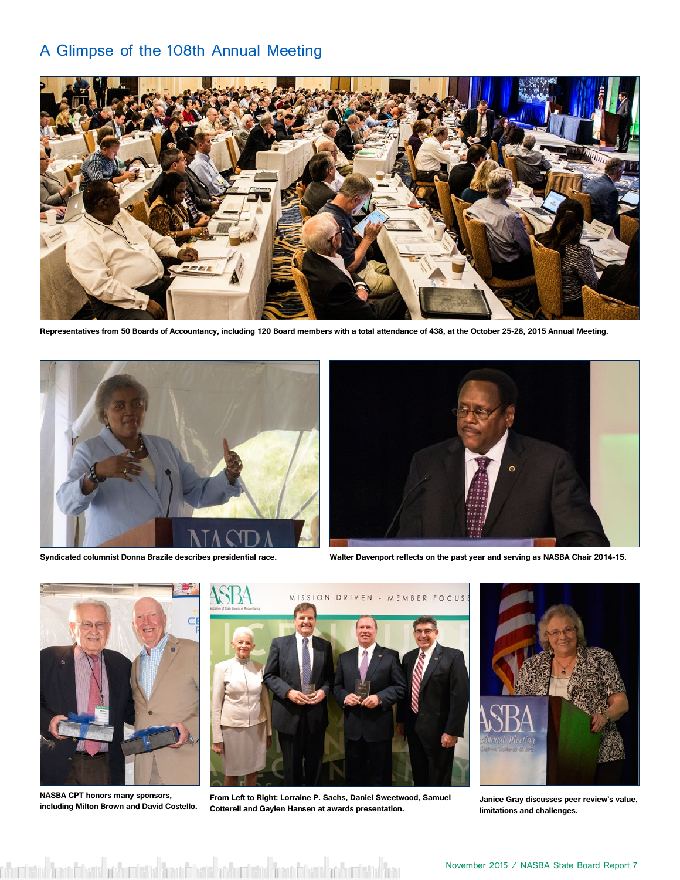#### A Glimpse of the 108th Annual Meeting



**Representatives from 50 Boards of Accountancy, including 120 Board members with a total attendance of 438, at the October 25-28, 2015 Annual Meeting.** 





**Syndicated columnist Donna Brazile describes presidential race. Walter Davenport reflects on the past year and serving as NASBA Chair 2014-15.**



**NASBA CPT honors many sponsors, including Milton Brown and David Costello.**



**From Left to Right: Lorraine P. Sachs, Daniel Sweetwood, Samuel Cotterell and Gaylen Hansen at awards presentation.**



**Janice Gray discusses peer review's value, limitations and challenges.**